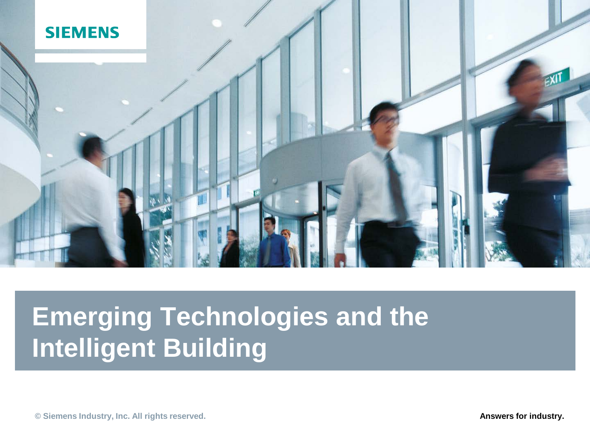

# **Emerging Technologies and the Intelligent Building**

**C** Siemens Industry, Inc. All rights reserved. **Answers for industry. Answers for industry.**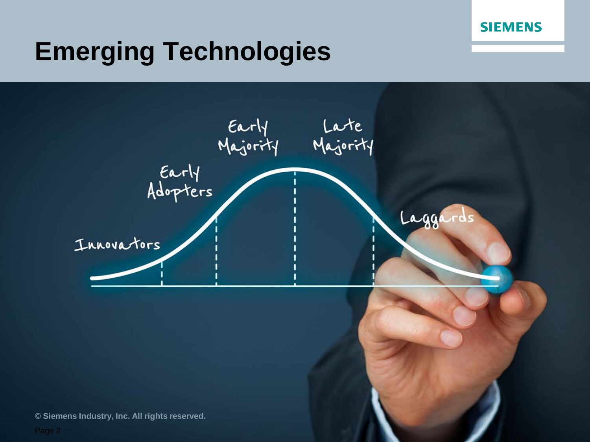

#### **Emerging Technologies**

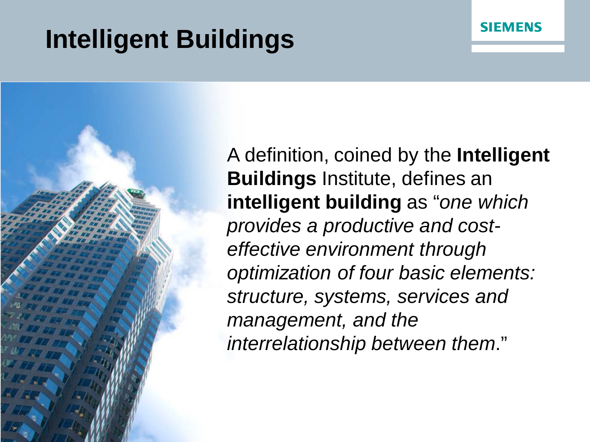# **Intelligent Buildings**



A definition, coined by the **Intelligent Buildings** Institute, defines an **intelligent building** as "*one which provides a productive and costeffective environment through optimization of four basic elements: structure, systems, services and management, and the interrelationship between them*."

**SIEMENS**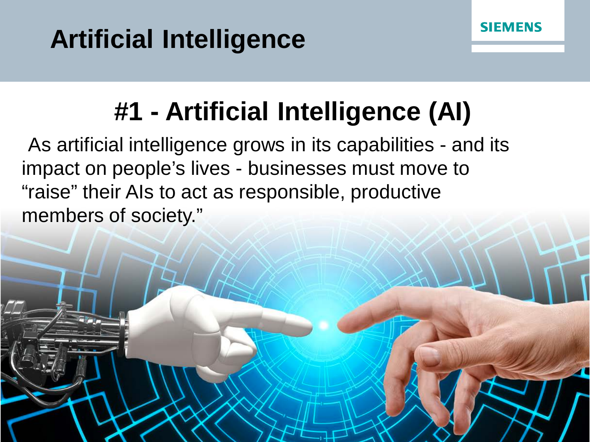## **Artificial Intelligence**

**© Siemens Industry, Inc. All rights reserved.**

# **#1 - Artificial Intelligence (AI)**

**SIEMENS** 

As artificial intelligence grows in its capabilities - and its impact on people's lives - businesses must move to "raise" their AIs to act as responsible, productive members of society."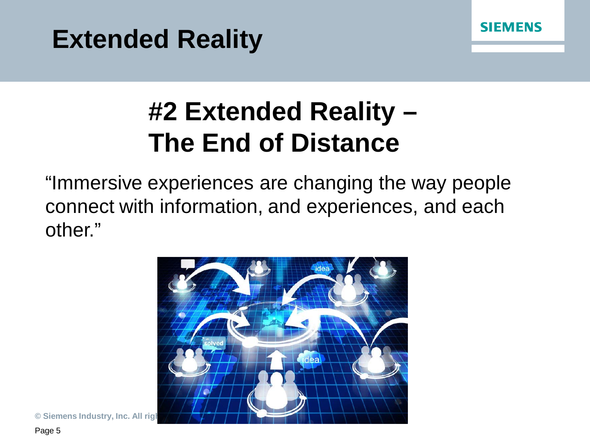



## **#2 Extended Reality – The End of Distance**

"Immersive experiences are changing the way people connect with information, and experiences, and each other."



 $©$  Siemens Industry, Inc. All rigl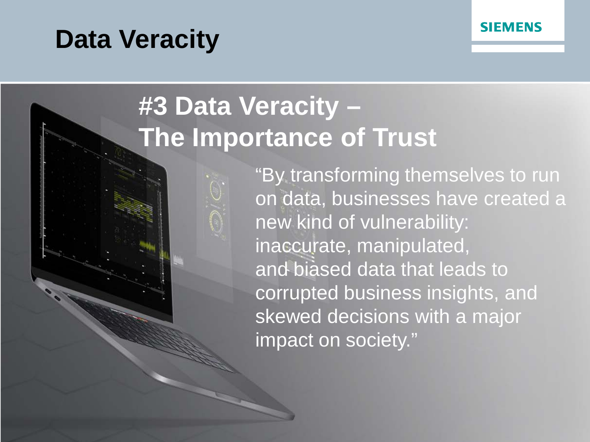#### **Data Veracity**



## **#3 Data Veracity – The Importance of Trust**



"By transforming themselves to run on data, businesses have created a new kind of vulnerability: inaccurate, manipulated, and biased data that leads to corrupted business insights, and skewed decisions with a major impact on society."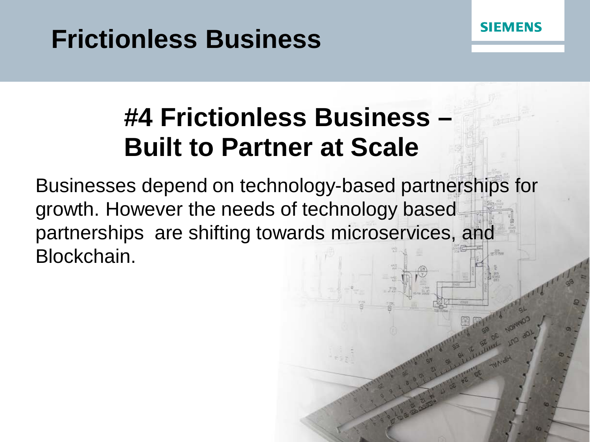#### **Frictionless Business**



#### **#4 Frictionless Business – Built to Partner at Scale**

Businesses depend on technology-based partnerships for growth. However the needs of technology based partnerships are shifting towards microservices, and Blockchain.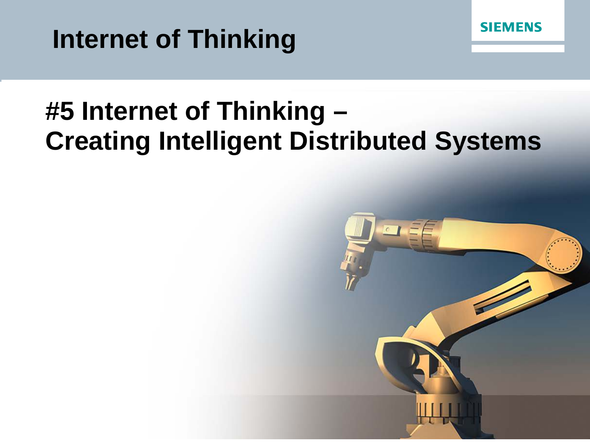#### **Internet of Thinking**



#### **#5 Internet of Thinking – Creating Intelligent Distributed Systems**

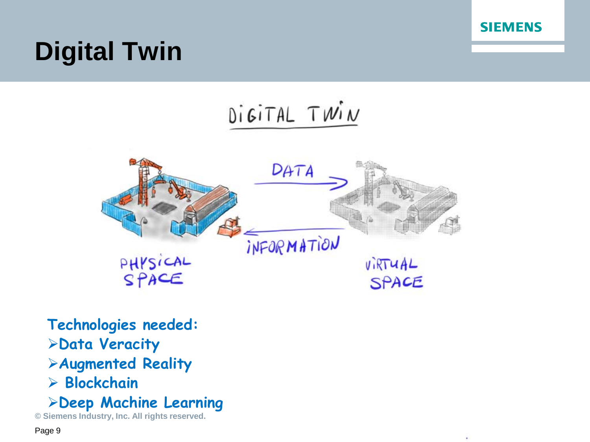

# **Digital Twin**





**Technologies needed: Data Veracity**

**Augmented Reality**

**Blockchain**

**Deep Machine Learning**

**© Siemens Industry, Inc. All rights reserved.**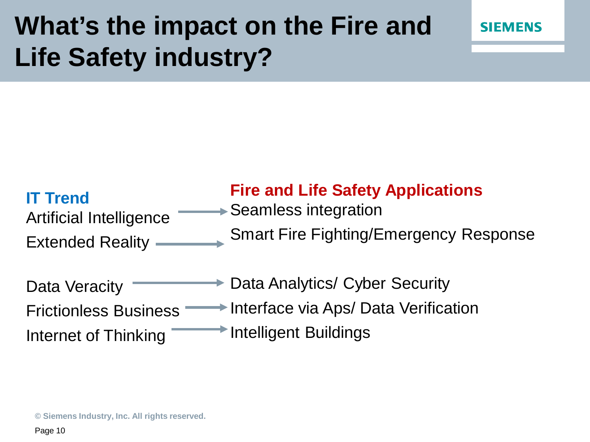### **What's the impact on the Fire and Life Safety industry?**



#### **IT Trend** Artificial Intelligence Extended Reality **Fire and Life Safety Applications** Seamless integration Smart Fire Fighting/Emergency Response

| Data Veracity                | Data Analytics/ Cyber Security         |
|------------------------------|----------------------------------------|
| <b>Frictionless Business</b> | → Interface via Aps/ Data Verification |
| Internet of Thinking         | Intelligent Buildings                  |

**© Siemens Industry, Inc. All rights reserved.**

Page 10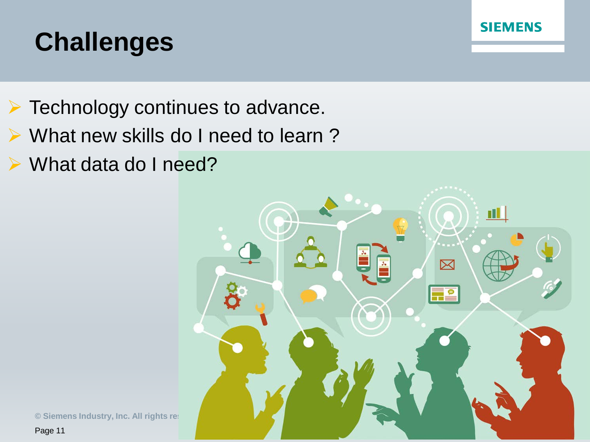



- ▶ What new skills do I need to learn?
- What data do I need?



**SIEMENS** 

**© Siemens Industry, Inc. All rights restrict** Page 11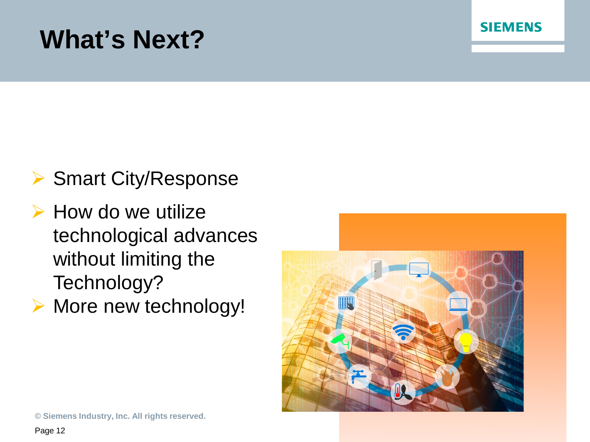#### **What's Next?**



- $\triangleright$  How do we utilize technological advances without limiting the Technology?
- ▶ More new technology!



**SIEMENS** 

**© Siemens Industry, Inc. All rights reserved.**